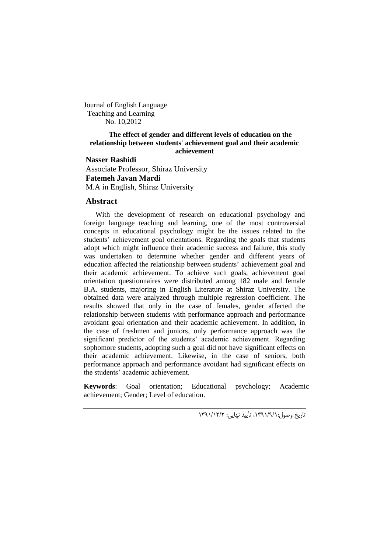Journal of English Language Teaching and Learning No. 10,2012

#### **The effect of gender and different levels of education on the relationship between students' achievement goal and their academic achievement**

**Nasser Rashidi** Associate Professor, Shiraz University **Fatemeh Javan Mardi** M.A in English, Shiraz University

## **Abstract**

With the development of research on educational psychology and foreign language teaching and learning, one of the most controversial concepts in educational psychology might be the issues related to the students' achievement goal orientations. Regarding the goals that students adopt which might influence their academic success and failure, this study was undertaken to determine whether gender and different years of education affected the relationship between students' achievement goal and their academic achievement. To achieve such goals, achievement goal orientation questionnaires were distributed among 182 male and female B.A. students, majoring in English Literature at Shiraz University. The obtained data were analyzed through multiple regression coefficient. The results showed that only in the case of females, gender affected the relationship between students with performance approach and performance avoidant goal orientation and their academic achievement. In addition, in the case of freshmen and juniors, only performance approach was the significant predictor of the students' academic achievement. Regarding sophomore students, adopting such a goal did not have significant effects on their academic achievement. Likewise, in the case of seniors, both performance approach and performance avoidant had significant effects on the students' academic achievement.

**Keywords**: Goal orientation; Educational psychology; Academic achievement; Gender; Level of education.

تاریخ وصول،1991/9/1: تأیید نهایی: 1991/12/2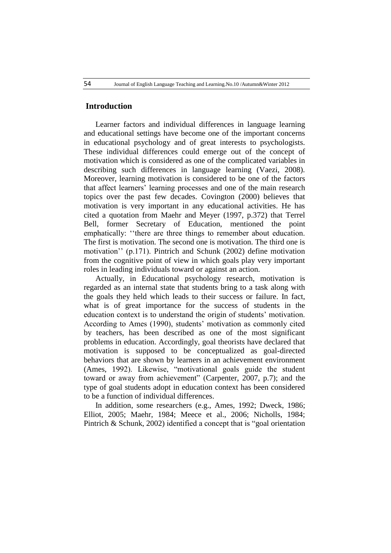# **Introduction**

Learner factors and individual differences in language learning and educational settings have become one of the important concerns in educational psychology and of great interests to psychologists. These individual differences could emerge out of the concept of motivation which is considered as one of the complicated variables in describing such differences in language learning (Vaezi, 2008). Moreover, learning motivation is considered to be one of the factors that affect learners' learning processes and one of the main research topics over the past few decades. Covington (2000) believes that motivation is very important in any educational activities. He has cited a quotation from Maehr and Meyer (1997, p.372) that Terrel Bell, former Secretary of Education, mentioned the point emphatically: ''there are three things to remember about education. The first is motivation. The second one is motivation. The third one is motivation'' (p.171). Pintrich and Schunk (2002) define motivation from the cognitive point of view in which goals play very important roles in leading individuals toward or against an action.

Actually, in Educational psychology research, motivation is regarded as an internal state that students bring to a task along with the goals they held which leads to their success or failure. In fact, what is of great importance for the success of students in the education context is to understand the origin of students' motivation. According to Ames (1990), students' motivation as commonly cited by teachers, has been described as one of the most significant problems in education. Accordingly, goal theorists have declared that motivation is supposed to be conceptualized as goal-directed behaviors that are shown by learners in an achievement environment (Ames, 1992). Likewise, "motivational goals guide the student toward or away from achievement" (Carpenter, 2007, p.7); and the type of goal students adopt in education context has been considered to be a function of individual differences.

In addition, some researchers (e.g., Ames, 1992; Dweck, 1986; Elliot, 2005; Maehr, 1984; Meece et al., 2006; Nicholls, 1984; Pintrich & Schunk, 2002) identified a concept that is "goal orientation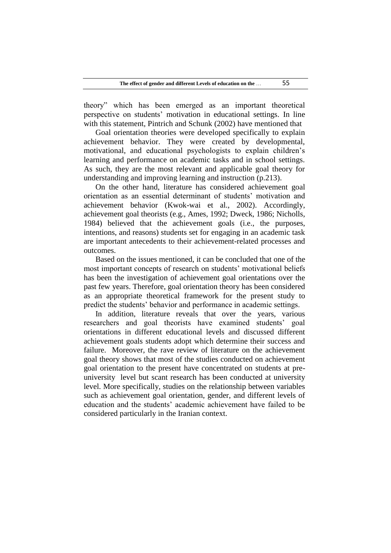theory" which has been emerged as an important theoretical perspective on students' motivation in educational settings. In line with this statement, Pintrich and Schunk (2002) have mentioned that

Goal orientation theories were developed specifically to explain achievement behavior. They were created by developmental, motivational, and educational psychologists to explain children's learning and performance on academic tasks and in school settings. As such, they are the most relevant and applicable goal theory for understanding and improving learning and instruction (p.213).

On the other hand, literature has considered achievement goal orientation as an essential determinant of students' motivation and achievement behavior (Kwok-wai et al., 2002). Accordingly, achievement goal theorists (e.g., Ames, 1992; Dweck, 1986; Nicholls, 1984) believed that the achievement goals (i.e., the purposes, intentions, and reasons) students set for engaging in an academic task are important antecedents to their achievement-related processes and outcomes.

Based on the issues mentioned, it can be concluded that one of the most important concepts of research on students' motivational beliefs has been the investigation of achievement goal orientations over the past few years. Therefore, goal orientation theory has been considered as an appropriate theoretical framework for the present study to predict the students' behavior and performance in academic settings.

In addition, literature reveals that over the years, various researchers and goal theorists have examined students' goal orientations in different educational levels and discussed different achievement goals students adopt which determine their success and failure. Moreover, the rave review of literature on the achievement goal theory shows that most of the studies conducted on achievement goal orientation to the present have concentrated on students at preuniversity level but scant research has been conducted at university level. More specifically, studies on the relationship between variables such as achievement goal orientation, gender, and different levels of education and the students' academic achievement have failed to be considered particularly in the Iranian context.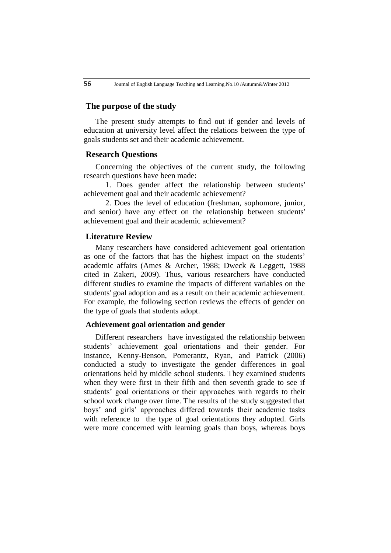## **The purpose of the study**

The present study attempts to find out if gender and levels of education at university level affect the relations between the type of goals students set and their academic achievement.

### **Research Questions**

Concerning the objectives of the current study, the following research questions have been made:

 1. Does gender affect the relationship between students' achievement goal and their academic achievement?

 2. Does the level of education (freshman, sophomore, junior, and senior) have any effect on the relationship between students' achievement goal and their academic achievement?

## **Literature Review**

Many researchers have considered achievement goal orientation as one of the factors that has the highest impact on the students' academic affairs (Ames & Archer, 1988; Dweck & Leggett, 1988 cited in Zakeri, 2009). Thus, various researchers have conducted different studies to examine the impacts of different variables on the students' goal adoption and as a result on their academic achievement. For example, the following section reviews the effects of gender on the type of goals that students adopt.

#### **Achievement goal orientation and gender**

Different researchers have investigated the relationship between students' achievement goal orientations and their gender. For instance, Kenny-Benson, Pomerantz, Ryan, and Patrick (2006) conducted a study to investigate the gender differences in goal orientations held by middle school students. They examined students when they were first in their fifth and then seventh grade to see if students' goal orientations or their approaches with regards to their school work change over time. The results of the study suggested that boys' and girls' approaches differed towards their academic tasks with reference to the type of goal orientations they adopted. Girls were more concerned with learning goals than boys, whereas boys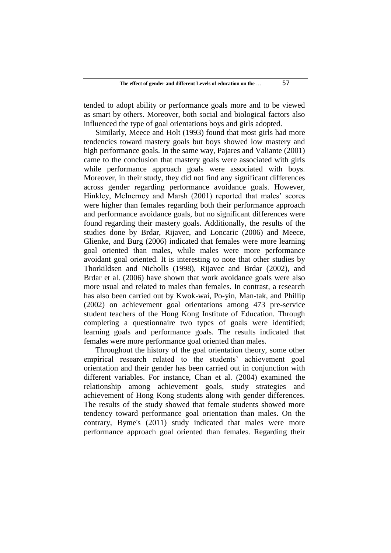tended to adopt ability or performance goals more and to be viewed as smart by others. Moreover, both social and biological factors also influenced the type of goal orientations boys and girls adopted.

Similarly, Meece and Holt (1993) found that most girls had more tendencies toward mastery goals but boys showed low mastery and high performance goals. In the same way, Pajares and Valiante (2001) came to the conclusion that mastery goals were associated with girls while performance approach goals were associated with boys. Moreover, in their study, they did not find any significant differences across gender regarding performance avoidance goals. However, Hinkley, McInerney and Marsh (2001) reported that males' scores were higher than females regarding both their performance approach and performance avoidance goals, but no significant differences were found regarding their mastery goals. Additionally, the results of the studies done by Brdar, Rijavec, and Loncaric (2006) and Meece, Glienke, and Burg (2006) indicated that females were more learning goal oriented than males, while males were more performance avoidant goal oriented. It is interesting to note that other studies by Thorkildsen and Nicholls (1998), Rijavec and Brdar (2002), and Brdar et al. (2006) have shown that work avoidance goals were also more usual and related to males than females. In contrast, a research has also been carried out by Kwok-wai, Po-yin, Man-tak, and Phillip (2002) on achievement goal orientations among 473 pre-service student teachers of the Hong Kong Institute of Education. Through completing a questionnaire two types of goals were identified; learning goals and performance goals. The results indicated that females were more performance goal oriented than males.

Throughout the history of the goal orientation theory, some other empirical research related to the students' achievement goal orientation and their gender has been carried out in conjunction with different variables. For instance, Chan et al. (2004) examined the relationship among achievement goals, study strategies and achievement of Hong Kong students along with gender differences. The results of the study showed that female students showed more tendency toward performance goal orientation than males. On the contrary, Byme's (2011) study indicated that males were more performance approach goal oriented than females. Regarding their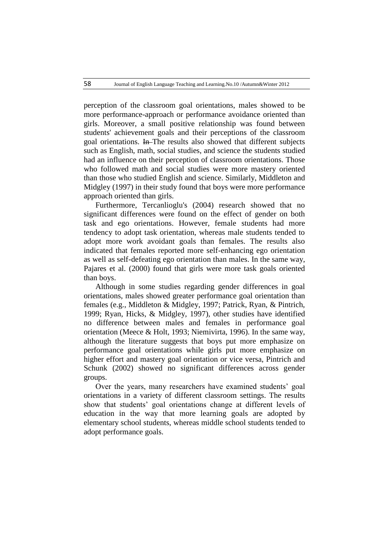perception of the classroom goal orientations, males showed to be more performance-approach or performance avoidance oriented than girls. Moreover, a small positive relationship was found between students' achievement goals and their perceptions of the classroom goal orientations. In The results also showed that different subjects such as English, math, social studies, and science the students studied had an influence on their perception of classroom orientations. Those who followed math and social studies were more mastery oriented than those who studied English and science. Similarly, Middleton and Midgley (1997) in their study found that boys were more performance approach oriented than girls.

Furthermore, Tercanlioglu's (2004) research showed that no significant differences were found on the effect of gender on both task and ego orientations. However, female students had more tendency to adopt task orientation, whereas male students tended to adopt more work avoidant goals than females. The results also indicated that females reported more self-enhancing ego orientation as well as self-defeating ego orientation than males. In the same way, Pajares et al. (2000) found that girls were more task goals oriented than boys.

Although in some studies regarding gender differences in goal orientations, males showed greater performance goal orientation than females (e.g., Middleton & Midgley, 1997; Patrick, Ryan, & Pintrich, 1999; Ryan, Hicks, & Midgley, 1997), other studies have identified no difference between males and females in performance goal orientation (Meece & Holt, 1993; Niemivirta, 1996). In the same way, although the literature suggests that boys put more emphasize on performance goal orientations while girls put more emphasize on higher effort and mastery goal orientation or vice versa, Pintrich and Schunk (2002) showed no significant differences across gender groups.

Over the years, many researchers have examined students' goal orientations in a variety of different classroom settings. The results show that students' goal orientations change at different levels of education in the way that more learning goals are adopted by elementary school students, whereas middle school students tended to adopt performance goals.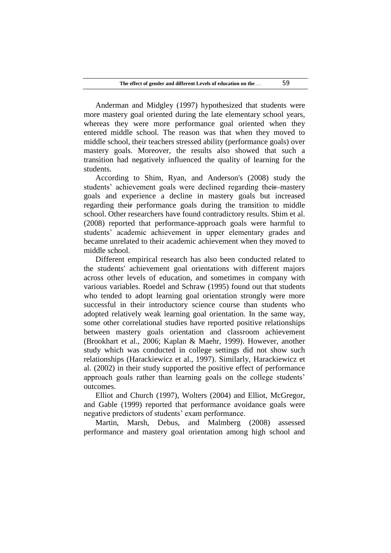Anderman and Midgley (1997) hypothesized that students were more mastery goal oriented during the late elementary school years, whereas they were more performance goal oriented when they entered middle school. The reason was that when they moved to middle school, their teachers stressed ability (performance goals) over mastery goals. Moreover, the results also showed that such a transition had negatively influenced the quality of learning for the students.

According to Shim, Ryan, and Anderson's (2008) study the students' achievement goals were declined regarding their-mastery goals and experience a decline in mastery goals but increased regarding their performance goals during the transition to middle school. Other researchers have found contradictory results. Shim et al. (2008) reported that performance-approach goals were harmful to students' academic achievement in upper elementary grades and became unrelated to their academic achievement when they moved to middle school.

Different empirical research has also been conducted related to the students' achievement goal orientations with different majors across other levels of education, and sometimes in company with various variables. Roedel and Schraw (1995) found out that students who tended to adopt learning goal orientation strongly were more successful in their introductory science course than students who adopted relatively weak learning goal orientation. In the same way, some other correlational studies have reported positive relationships between mastery goals orientation and classroom achievement (Brookhart et al., 2006; Kaplan & Maehr, 1999). However, another study which was conducted in college settings did not show such relationships (Harackiewicz et al., 1997). Similarly, Harackiewicz et al. (2002) in their study supported the positive effect of performance approach goals rather than learning goals on the college students' outcomes.

Elliot and Church (1997), Wolters (2004) and Elliot, McGregor, and Gable (1999) reported that performance avoidance goals were negative predictors of students' exam performance.

Martin, Marsh, Debus, and Malmberg (2008) assessed performance and mastery goal orientation among high school and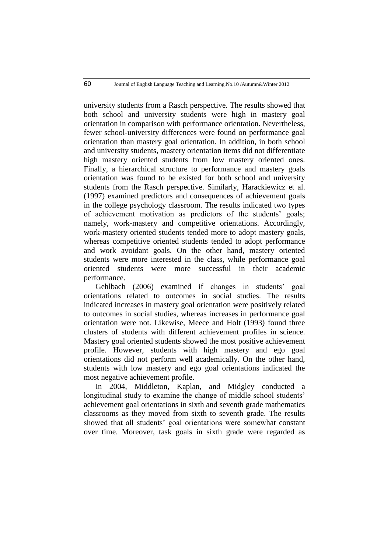university students from a Rasch perspective. The results showed that both school and university students were high in mastery goal orientation in comparison with performance orientation. Nevertheless, fewer school-university differences were found on performance goal orientation than mastery goal orientation. In addition, in both school and university students, mastery orientation items did not differentiate high mastery oriented students from low mastery oriented ones. Finally, a hierarchical structure to performance and mastery goals orientation was found to be existed for both school and university students from the Rasch perspective. Similarly, Harackiewicz et al. (1997) examined predictors and consequences of achievement goals in the college psychology classroom. The results indicated two types of achievement motivation as predictors of the students' goals; namely, work-mastery and competitive orientations. Accordingly, work-mastery oriented students tended more to adopt mastery goals, whereas competitive oriented students tended to adopt performance and work avoidant goals. On the other hand, mastery oriented students were more interested in the class, while performance goal oriented students were more successful in their academic performance.

Gehlbach (2006) examined if changes in students' goal orientations related to outcomes in social studies. The results indicated increases in mastery goal orientation were positively related to outcomes in social studies, whereas increases in performance goal orientation were not. Likewise, Meece and Holt (1993) found three clusters of students with different achievement profiles in science. Mastery goal oriented students showed the most positive achievement profile. However, students with high mastery and ego goal orientations did not perform well academically. On the other hand, students with low mastery and ego goal orientations indicated the most negative achievement profile.

In 2004, Middleton, Kaplan, and Midgley conducted a longitudinal study to examine the change of middle school students' achievement goal orientations in sixth and seventh grade mathematics classrooms as they moved from sixth to seventh grade. The results showed that all students' goal orientations were somewhat constant over time. Moreover, task goals in sixth grade were regarded as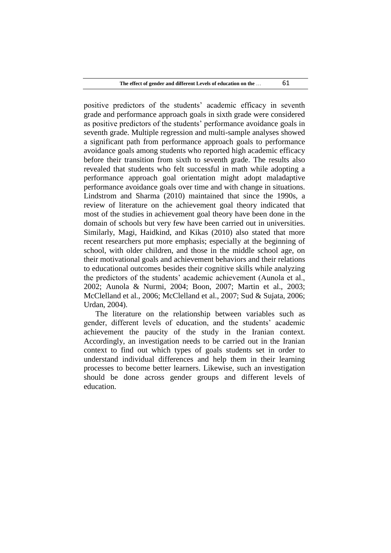positive predictors of the students' academic efficacy in seventh grade and performance approach goals in sixth grade were considered as positive predictors of the students' performance avoidance goals in seventh grade. Multiple regression and multi-sample analyses showed a significant path from performance approach goals to performance avoidance goals among students who reported high academic efficacy before their transition from sixth to seventh grade. The results also revealed that students who felt successful in math while adopting a performance approach goal orientation might adopt maladaptive performance avoidance goals over time and with change in situations. Lindstrom and Sharma (2010) maintained that since the 1990s, a review of literature on the achievement goal theory indicated that most of the studies in achievement goal theory have been done in the domain of schools but very few have been carried out in universities. Similarly, Magi, Haidkind, and Kikas (2010) also stated that more recent researchers put more emphasis; especially at the beginning of school, with older children, and those in the middle school age, on their motivational goals and achievement behaviors and their relations to educational outcomes besides their cognitive skills while analyzing the predictors of the students' academic achievement (Aunola et al., 2002; Aunola & Nurmi, 2004; Boon, 2007; Martin et al., 2003; McClelland et al., 2006; McClelland et al., 2007; Sud & Sujata, 2006; Urdan, 2004).

The literature on the relationship between variables such as gender, different levels of education, and the students' academic achievement the paucity of the study in the Iranian context. Accordingly, an investigation needs to be carried out in the Iranian context to find out which types of goals students set in order to understand individual differences and help them in their learning processes to become better learners. Likewise, such an investigation should be done across gender groups and different levels of education.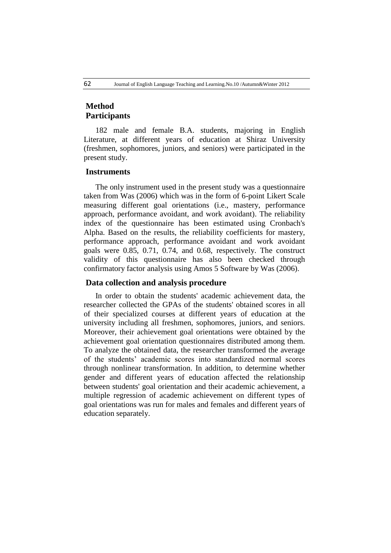# **Method Participants**

182 male and female B.A. students, majoring in English Literature, at different years of education at Shiraz University (freshmen, sophomores, juniors, and seniors) were participated in the present study.

# **Instruments**

The only instrument used in the present study was a questionnaire taken from Was (2006) which was in the form of 6-point Likert Scale measuring different goal orientations (i.e., mastery, performance approach, performance avoidant, and work avoidant). The reliability index of the questionnaire has been estimated using Cronbach's Alpha. Based on the results, the reliability coefficients for mastery, performance approach, performance avoidant and work avoidant goals were 0.85, 0.71, 0.74, and 0.68, respectively. The construct validity of this questionnaire has also been checked through confirmatory factor analysis using Amos 5 Software by Was (2006).

## **Data collection and analysis procedure**

In order to obtain the students' academic achievement data, the researcher collected the GPAs of the students' obtained scores in all of their specialized courses at different years of education at the university including all freshmen, sophomores, juniors, and seniors. Moreover, their achievement goal orientations were obtained by the achievement goal orientation questionnaires distributed among them. To analyze the obtained data, the researcher transformed the average of the students' academic scores into standardized normal scores through nonlinear transformation. In addition, to determine whether gender and different years of education affected the relationship between students' goal orientation and their academic achievement, a multiple regression of academic achievement on different types of goal orientations was run for males and females and different years of education separately.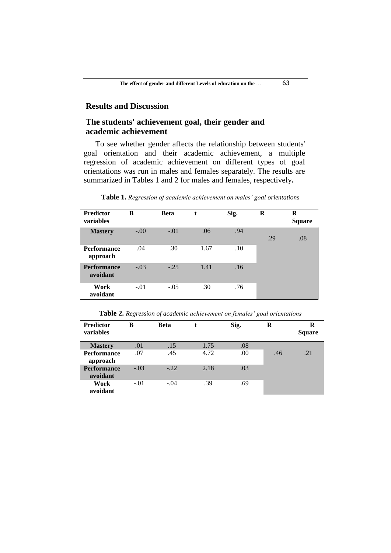# **Results and Discussion**

# **The students' achievement goal, their gender and academic achievement**

To see whether gender affects the relationship between students' goal orientation and their academic achievement, a multiple regression of academic achievement on different types of goal orientations was run in males and females separately. The results are summarized in Tables 1 and 2 for males and females, respectively**.**

**Table 1.** *Regression of academic achievement on males' goal orientations*

| <b>Predictor</b><br>variables  | в      | <b>Beta</b> | t    | Sig. | R   | R<br><b>Square</b> |
|--------------------------------|--------|-------------|------|------|-----|--------------------|
| <b>Mastery</b>                 | $-.00$ | $-.01$      | .06  | .94  | .29 | .08                |
| <b>Performance</b><br>approach | .04    | .30         | 1.67 | .10  |     |                    |
| <b>Performance</b><br>avoidant | $-.03$ | $-.25$      | 1.41 | .16  |     |                    |
| Work<br>avoidant               | $-.01$ | $-.05$      | .30  | .76  |     |                    |

**Table 2.** *Regression of academic achievement on females' goal orientations*

| <b>Predictor</b><br>variables  | в      | <b>Beta</b> | t    | Sig. | R   | R<br><b>Square</b> |
|--------------------------------|--------|-------------|------|------|-----|--------------------|
| <b>Mastery</b>                 | .01    | .15         | 1.75 | .08  |     |                    |
| <b>Performance</b><br>approach | .07    | .45         | 4.72 | .00  | .46 | .21                |
| <b>Performance</b><br>avoidant | $-.03$ | $-.22$      | 2.18 | .03  |     |                    |
| Work<br>avoidant               | $-.01$ | $-.04$      | .39  | .69  |     |                    |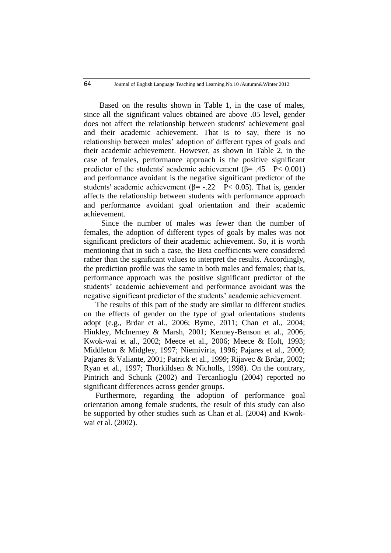Based on the results shown in Table 1, in the case of males, since all the significant values obtained are above .05 level, gender does not affect the relationship between students' achievement goal and their academic achievement. That is to say, there is no relationship between males' adoption of different types of goals and their academic achievement. However, as shown in Table 2, in the case of females, performance approach is the positive significant predictor of the students' academic achievement ( $\beta$ = .45 P< 0.001) and performance avoidant is the negative significant predictor of the students' academic achievement ( $\beta$ = -.22 P< 0.05). That is, gender affects the relationship between students with performance approach and performance avoidant goal orientation and their academic achievement.

 Since the number of males was fewer than the number of females, the adoption of different types of goals by males was not significant predictors of their academic achievement. So, it is worth mentioning that in such a case, the Beta coefficients were considered rather than the significant values to interpret the results. Accordingly, the prediction profile was the same in both males and females; that is, performance approach was the positive significant predictor of the students' academic achievement and performance avoidant was the negative significant predictor of the students' academic achievement.

The results of this part of the study are similar to different studies on the effects of gender on the type of goal orientations students adopt (e.g., Brdar et al., 2006; Byme, 2011; Chan et al., 2004; Hinkley, McInerney & Marsh, 2001; Kenney-Benson et al., 2006; Kwok-wai et al., 2002; Meece et al., 2006; Meece & Holt, 1993; Middleton & Midgley, 1997; Niemivirta, 1996; Pajares et al., 2000; Pajares & Valiante, 2001; Patrick et al., 1999; Rijavec & Brdar, 2002; Ryan et al., 1997; Thorkildsen & Nicholls, 1998). On the contrary, Pintrich and Schunk (2002) and Tercanlioglu (2004) reported no significant differences across gender groups.

Furthermore, regarding the adoption of performance goal orientation among female students, the result of this study can also be supported by other studies such as Chan et al. (2004) and Kwokwai et al. (2002).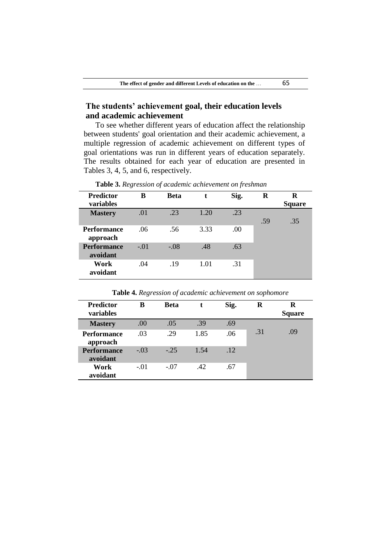# **The students' achievement goal, their education levels and academic achievement**

To see whether different years of education affect the relationship between students' goal orientation and their academic achievement, a multiple regression of academic achievement on different types of goal orientations was run in different years of education separately. The results obtained for each year of education are presented in Tables 3, 4, 5, and 6, respectively.

| <b>Predictor</b><br>variables  | в      | <b>Beta</b> | t    | Sig. | R   | R<br><b>Square</b> |
|--------------------------------|--------|-------------|------|------|-----|--------------------|
|                                |        |             |      |      |     |                    |
| <b>Mastery</b>                 | .01    | .23         | 1.20 | .23  |     |                    |
|                                |        |             |      |      | .59 | .35                |
| <b>Performance</b><br>approach | .06    | .56         | 3.33 | .00  |     |                    |
| <b>Performance</b><br>avoidant | $-.01$ | $-.08$      | .48  | .63  |     |                    |
| Work<br>avoidant               | .04    | .19         | 1.01 | .31  |     |                    |

**Table 3.** *Regression of academic achievement on freshman*

**Table 4.** *Regression of academic achievement on sophomore*

| <b>Predictor</b><br>variables  | в      | <b>Beta</b> |      | Sig. | R   | R<br><b>Square</b> |
|--------------------------------|--------|-------------|------|------|-----|--------------------|
| <b>Mastery</b>                 | .00    | .05         | .39  | .69  |     |                    |
| <b>Performance</b><br>approach | .03    | .29         | 1.85 | .06  | .31 | .09                |
| <b>Performance</b><br>avoidant | $-.03$ | $-25$       | 1.54 | .12  |     |                    |
| Work<br>avoidant               | $-.01$ | $-.07$      | .42  | .67  |     |                    |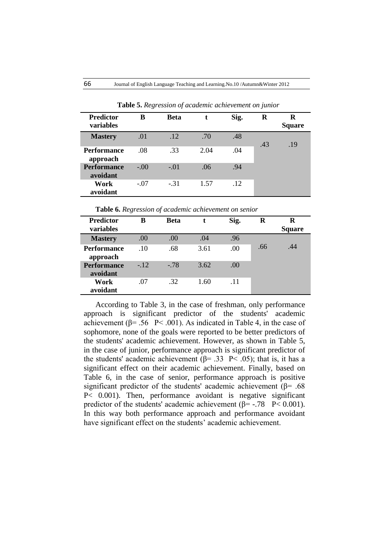| <b>Predictor</b><br><b>variables</b> | B      | <b>Beta</b> | t.   | Sig. | R   | R<br><b>Square</b> |
|--------------------------------------|--------|-------------|------|------|-----|--------------------|
| <b>Mastery</b>                       | .01    | .12         | .70  | .48  | .43 | .19                |
| <b>Performance</b><br>approach       | .08    | .33         | 2.04 | .04  |     |                    |
| <b>Performance</b><br>avoidant       | $-.00$ | $-.01$      | .06  | .94  |     |                    |
| Work<br>avoidant                     | $-.07$ | $-.31$      | 1.57 | .12  |     |                    |

 **Table 5.** *Regression of academic achievement on junior*

**Table 6.** *Regression of academic achievement on senior*

| <b>Predictor</b><br>variables  | в     | <b>Beta</b> |      | Sig. | R   | R<br><b>Square</b> |
|--------------------------------|-------|-------------|------|------|-----|--------------------|
| <b>Mastery</b>                 | .00   | .00         | .04  | .96  |     |                    |
| <b>Performance</b><br>approach | .10   | .68         | 3.61 | .00  | .66 | .44                |
| <b>Performance</b><br>avoidant | $-12$ | $-78$       | 3.62 | .00. |     |                    |
| Work<br>avoidant               | .07   | .32         | 1.60 | .11  |     |                    |

According to Table 3, in the case of freshman, only performance approach is significant predictor of the students' academic achievement ( $\beta$ = .56 P < .001). As indicated in Table 4, in the case of sophomore, none of the goals were reported to be better predictors of the students' academic achievement. However, as shown in Table 5, in the case of junior, performance approach is significant predictor of the students' academic achievement ( $\beta$ = .33 P < .05); that is, it has a significant effect on their academic achievement. Finally, based on Table 6, in the case of senior, performance approach is positive significant predictor of the students' academic achievement ( $\beta$ = .68 P< 0.001). Then, performance avoidant is negative significant predictor of the students' academic achievement ( $\beta$ = -.78 P< 0.001). In this way both performance approach and performance avoidant have significant effect on the students' academic achievement.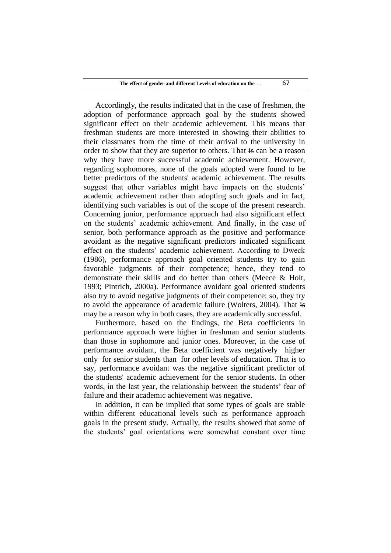Accordingly, the results indicated that in the case of freshmen, the adoption of performance approach goal by the students showed significant effect on their academic achievement. This means that freshman students are more interested in showing their abilities to their classmates from the time of their arrival to the university in order to show that they are superior to others. That is can be a reason why they have more successful academic achievement. However, regarding sophomores, none of the goals adopted were found to be better predictors of the students' academic achievement. The results suggest that other variables might have impacts on the students' academic achievement rather than adopting such goals and in fact, identifying such variables is out of the scope of the present research. Concerning junior, performance approach had also significant effect on the students' academic achievement. And finally, in the case of senior, both performance approach as the positive and performance avoidant as the negative significant predictors indicated significant effect on the students' academic achievement. According to Dweck (1986), performance approach goal oriented students try to gain favorable judgments of their competence; hence, they tend to demonstrate their skills and do better than others (Meece & Holt, 1993; Pintrich, 2000a). Performance avoidant goal oriented students also try to avoid negative judgments of their competence; so, they try to avoid the appearance of academic failure (Wolters, 2004). That is may be a reason why in both cases, they are academically successful.

Furthermore, based on the findings, the Beta coefficients in performance approach were higher in freshman and senior students than those in sophomore and junior ones. Moreover, in the case of performance avoidant, the Beta coefficient was negatively higher only for senior students than for other levels of education. That is to say, performance avoidant was the negative significant predictor of the students' academic achievement for the senior students. In other words, in the last year, the relationship between the students' fear of failure and their academic achievement was negative.

In addition, it can be implied that some types of goals are stable within different educational levels such as performance approach goals in the present study. Actually, the results showed that some of the students' goal orientations were somewhat constant over time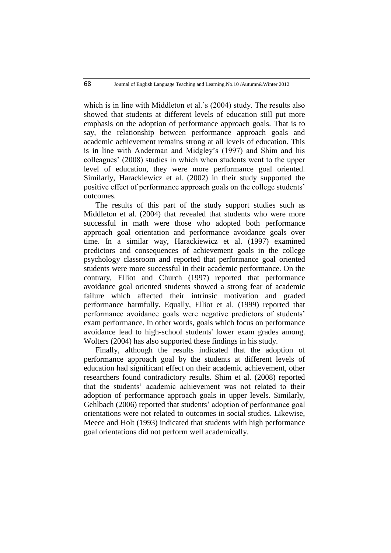which is in line with Middleton et al.'s (2004) study. The results also showed that students at different levels of education still put more emphasis on the adoption of performance approach goals. That is to say, the relationship between performance approach goals and academic achievement remains strong at all levels of education. This is in line with Anderman and Midgley's (1997) and Shim and his colleagues' (2008) studies in which when students went to the upper level of education, they were more performance goal oriented. Similarly, Harackiewicz et al. (2002) in their study supported the positive effect of performance approach goals on the college students' outcomes.

The results of this part of the study support studies such as Middleton et al. (2004) that revealed that students who were more successful in math were those who adopted both performance approach goal orientation and performance avoidance goals over time. In a similar way, Harackiewicz et al. (1997) examined predictors and consequences of achievement goals in the college psychology classroom and reported that performance goal oriented students were more successful in their academic performance. On the contrary, Elliot and Church (1997) reported that performance avoidance goal oriented students showed a strong fear of academic failure which affected their intrinsic motivation and graded performance harmfully. Equally, Elliot et al. (1999) reported that performance avoidance goals were negative predictors of students' exam performance. In other words, goals which focus on performance avoidance lead to high-school students' lower exam grades among. Wolters (2004) has also supported these findings in his study.

Finally, although the results indicated that the adoption of performance approach goal by the students at different levels of education had significant effect on their academic achievement, other researchers found contradictory results. Shim et al. (2008) reported that the students' academic achievement was not related to their adoption of performance approach goals in upper levels. Similarly, Gehlbach (2006) reported that students' adoption of performance goal orientations were not related to outcomes in social studies. Likewise, Meece and Holt (1993) indicated that students with high performance goal orientations did not perform well academically.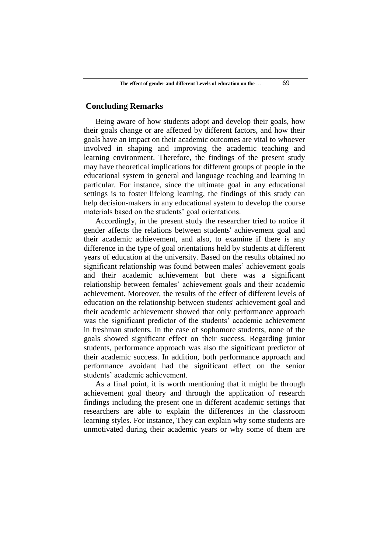## **Concluding Remarks**

Being aware of how students adopt and develop their goals, how their goals change or are affected by different factors, and how their goals have an impact on their academic outcomes are vital to whoever involved in shaping and improving the academic teaching and learning environment. Therefore, the findings of the present study may have theoretical implications for different groups of people in the educational system in general and language teaching and learning in particular. For instance, since the ultimate goal in any educational settings is to foster lifelong learning, the findings of this study can help decision-makers in any educational system to develop the course materials based on the students' goal orientations.

Accordingly, in the present study the researcher tried to notice if gender affects the relations between students' achievement goal and their academic achievement, and also, to examine if there is any difference in the type of goal orientations held by students at different years of education at the university. Based on the results obtained no significant relationship was found between males' achievement goals and their academic achievement but there was a significant relationship between females' achievement goals and their academic achievement. Moreover, the results of the effect of different levels of education on the relationship between students' achievement goal and their academic achievement showed that only performance approach was the significant predictor of the students' academic achievement in freshman students. In the case of sophomore students, none of the goals showed significant effect on their success. Regarding junior students, performance approach was also the significant predictor of their academic success. In addition, both performance approach and performance avoidant had the significant effect on the senior students' academic achievement.

As a final point, it is worth mentioning that it might be through achievement goal theory and through the application of research findings including the present one in different academic settings that researchers are able to explain the differences in the classroom learning styles. For instance, They can explain why some students are unmotivated during their academic years or why some of them are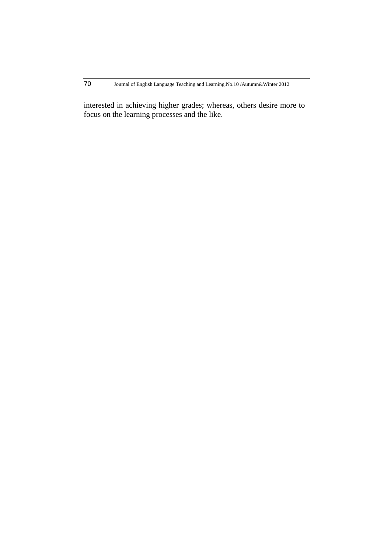interested in achieving higher grades; whereas, others desire more to focus on the learning processes and the like.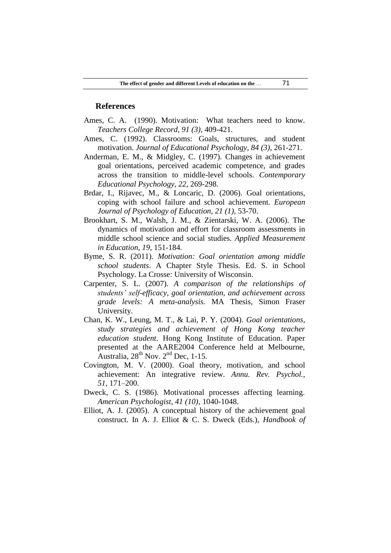### **References**

- Ames, C. A. (1990). Motivation: What teachers need to know. *Teachers College Record, 91 (3)*, 409-421.
- Ames, C. (1992). Classrooms: Goals, structures, and student motivation. *Journal of Educational Psychology, 84 (3)*, 261-271.
- Anderman, E. M., & Midgley, C. (1997). Changes in achievement goal orientations, perceived academic competence, and grades across the transition to middle-level schools. *Contemporary Educational Psychology, 22*, 269-298.
- Brdar, I., Rijavec, M., & Loncaric, D. (2006). Goal orientations, coping with school failure and school achievement*. European Journal of Psychology of Education, 21 (1),* 53-70.
- Brookhart, S. M., Walsh, J. M., & Zientarski, W. A. (2006). The dynamics of motivation and effort for classroom assessments in middle school science and social studies. *Applied Measurement in Education, 19*, 151-184.
- Byme, S. R. (2011). *Motivation: Goal orientation among middle school students*. A Chapter Style Thesis. Ed. S. in School Psychology. La Crosse: University of Wisconsin.
- Carpenter, S. L. (2007). *A comparison of the relationships of students' self-efficacy, goal orientation, and achievement across grade levels: A meta-analysis.* MA Thesis, Simon Fraser University.
- Chan, K. W., Leung, M. T., & Lai, P. Y. (2004). *Goal orientations, study strategies and achievement of Hong Kong teacher education student*. Hong Kong Institute of Education. Paper presented at the AARE2004 Conference held at Melbourne, Australia,  $28^{th}$  Nov.  $2^{nd}$  Dec, 1-15.
- Covington, M. V. (2000). Goal theory, motivation, and school achievement: An integrative review. *Annu. Rev. Psychol., 51*, 171–200.
- Dweck, C. S. (1986). Motivational processes affecting learning. *American Psychologist, 41 (10)*, 1040-1048.
- Elliot, A. J. (2005). A conceptual history of the achievement goal construct. In A. J. Elliot & C. S. Dweck (Eds.), *Handbook of*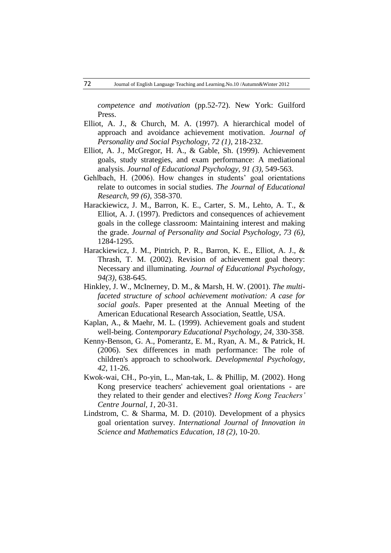*competence and motivation* (pp.52-72). New York: Guilford Press.

- Elliot, A. J., & Church, M. A. (1997). A hierarchical model of approach and avoidance achievement motivation. *Journal of Personality and Social Psychology, 72 (1)*, 218-232.
- Elliot, A. J., McGregor, H. A., & Gable, Sh. (1999). Achievement goals, study strategies, and exam performance: A mediational analysis. *Journal of Educational Psychology, 91 (3),* 549-563.
- Gehlbach, H. (2006). How changes in students' goal orientations relate to outcomes in social studies. *The Journal of Educational Research, 99 (6),* 358-370.
- Harackiewicz, J. M., Barron, K. E., Carter, S. M., Lehto, A. T., & Elliot, A. J. (1997). Predictors and consequences of achievement goals in the college classroom: Maintaining interest and making the grade. *Journal of Personality and Social Psychology, 73 (6),*  1284-1295.
- Harackiewicz, J. M., Pintrich, P. R., Barron, K. E., Elliot, A. J., & Thrash, T. M. (2002). Revision of achievement goal theory: Necessary and illuminating. *Journal of Educational Psychology, 94(3)*, 638-645.
- Hinkley, J. W., McInerney, D. M., & Marsh, H. W. (2001). *The multifaceted structure of school achievement motivation: A case for social goals*. Paper presented at the Annual Meeting of the American Educational Research Association, Seattle, USA.
- Kaplan, A., & Maehr, M. L. (1999). Achievement goals and student well-being. *Contemporary Educational Psychology, 24,* 330-358.
- Kenny-Benson, G. A., Pomerantz, E. M., Ryan, A. M., & Patrick, H. (2006). Sex differences in math performance: The role of children's approach to schoolwork. *Developmental Psychology, 42*, 11-26.
- Kwok-wai, CH., Po-yin, L., Man-tak, L. & Phillip, M. (2002). Hong Kong preservice teachers' achievement goal orientations - are they related to their gender and electives? *Hong Kong Teachers' Centre Journal, 1*, 20-31.
- Lindstrom, C. & Sharma, M. D. (2010). Development of a physics goal orientation survey. *International Journal of Innovation in Science and Mathematics Education, 18 (2)*, 10-20.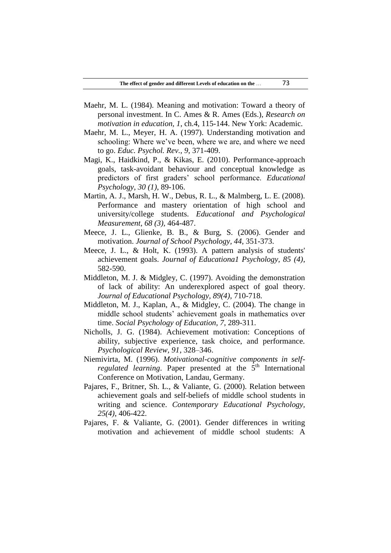- Maehr, M. L. (1984). Meaning and motivation: Toward a theory of personal investment. In C. Ames & R. Ames (Eds.), *Research on motivation in education, 1*, ch.4, 115-144. New York: Academic.
- Maehr, M. L., Meyer, H. A. (1997). Understanding motivation and schooling: Where we've been, where we are, and where we need to go. *Educ. Psychol. Rev., 9*, 371-409.
- Magi, K., Haidkind, P., & Kikas, E. (2010). Performance-approach goals, task-avoidant behaviour and conceptual knowledge as predictors of first graders' school performance. *Educational Psychology, 30 (1)*, 89-106.
- Martin, A. J., Marsh, H. W., Debus, R. L., & Malmberg, L. E. (2008). Performance and mastery orientation of high school and university/college students. *Educational and Psychological Measurement, 68 (3),* 464-487.
- Meece, J. L., Glienke, B. B., & Burg, S. (2006). Gender and motivation. *Journal of School Psychology, 44*, 351-373.
- Meece, J. L., & Holt, K. (1993). A pattern analysis of students' achievement goals. *Journal of Educationa1 Psychology, 85 (4)*, 582-590.
- Middleton, M. J. & Midgley, C. (1997). Avoiding the demonstration of lack of ability: An underexplored aspect of goal theory. *Journal of Educational Psychology, 89(4)*, 710-718.
- Middleton, M. J., Kaplan, A., & Midgley, C. (2004). The change in middle school students' achievement goals in mathematics over time. *Social Psychology of Education, 7*, 289-311.
- Nicholls, J. G. (1984). Achievement motivation: Conceptions of ability, subjective experience, task choice, and performance. *Psychological Review, 91*, 328–346.
- Niemivirta, M. (1996). *Motivational-cognitive components in selfregulated learning*. Paper presented at the 5<sup>th</sup> International Conference on Motivation, Landau, Germany.
- Pajares, F., Britner, Sh. L., & Valiante, G. (2000). Relation between achievement goals and self-beliefs of middle school students in writing and science. *Contemporary Educational Psychology, 25(4)*, 406-422.
- Pajares, F. & Valiante, G. (2001). Gender differences in writing motivation and achievement of middle school students: A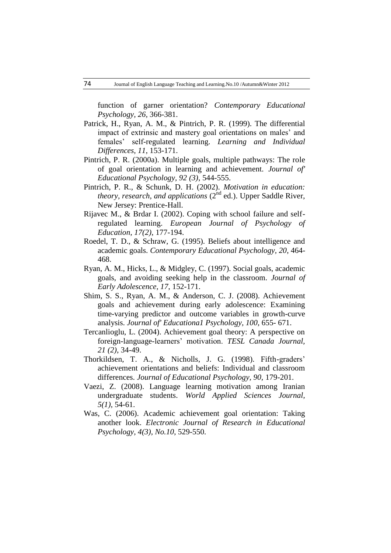function of garner orientation? *Contemporary Educational Psychology, 26,* 366-381.

- Patrick, H., Ryan, A. M., & Pintrich, P. R. (1999). The differential impact of extrinsic and mastery goal orientations on males' and females' self-regulated learning. *Learning and Individual Differences, 11*, 153-171.
- Pintrich, P. R. (2000a). Multiple goals, multiple pathways: The role of goal orientation in learning and achievement. *Journal of' Educational Psychology, 92 (3)*, 544-555.
- Pintrich, P. R., & Schunk, D. H. (2002). *Motivation in education: theory, research, and applications*  $(2^{nd}$  ed.). Upper Saddle River, New Jersey: Prentice-Hall.
- Rijavec M., & Brdar I. (2002). Coping with school failure and selfregulated learning. *European Journal of Psychology of Education, 17(2)*, 177-194.
- Roedel, T. D., & Schraw, G. (1995). Beliefs about intelligence and academic goals. *Contemporary Educational Psychology, 20*, 464- 468.
- Ryan, A. M., Hicks, L., & Midgley, C. (1997). Social goals, academic goals, and avoiding seeking help in the classroom. *Journal of Early Adolescence, 17*, 152-171.
- Shim, S. S., Ryan, A. M., & Anderson, C. J. (2008). Achievement goals and achievement during early adolescence: Examining time-varying predictor and outcome variables in growth-curve analysis. *Journal of' Educationa1 Psychology, 100*, 655- 671.
- Tercanlioglu, L. (2004). Achievement goal theory: A perspective on foreign-language-learners' motivation. *TESL Canada Journal, 21 (2)*, 34-49.
- Thorkildsen, T. A., & Nicholls, J. G. (1998). Fifth-graders' achievement orientations and beliefs: Individual and classroom differences. *Journal of Educational Psychology, 90,* 179-201.
- Vaezi, Z. (2008). Language learning motivation among Iranian undergraduate students. *World Applied Sciences Journal, 5(1),* 54-61.
- Was, C. (2006). Academic achievement goal orientation: Taking another look. *Electronic Journal of Research in Educational Psychology, 4(3), No.10*, 529-550.